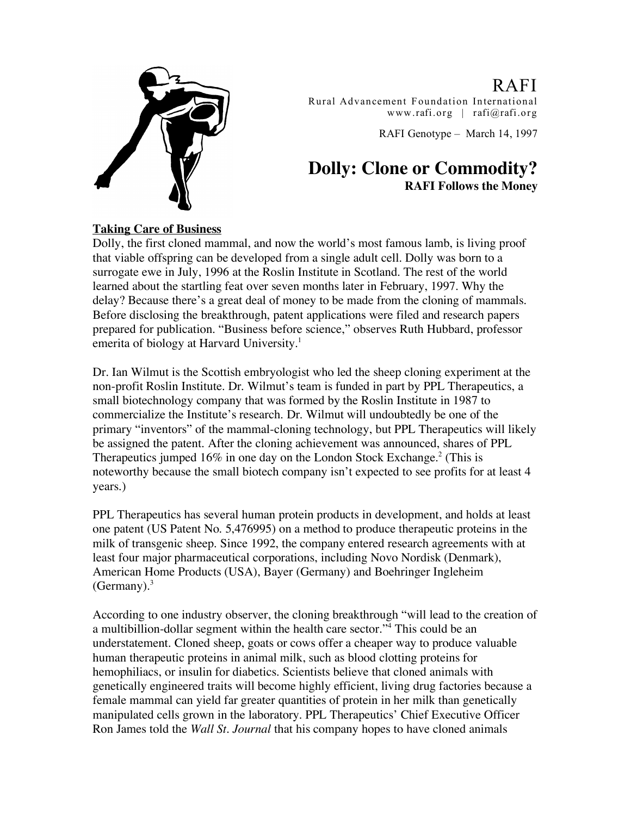

RAFI Rural Advancement Foundation In ternational www.rafi.org | rafi@rafi.org

RAFI Genotype – March 14, 1997

# **Dolly: Clone or Commodity? RAFI Follows the Money**

## **Taking Care of Business**

Dolly, the first cloned mammal, and now the world's most famous lamb, is living proof that viable offspring can be developed from a single adult cell. Dolly was born to a surrogate ewe in July, 1996 at the Roslin Institute in Scotland. The rest of the world learned about the startling feat over seven months later in February, 1997. Why the delay? Because there's a great deal of money to be made from the cloning of mammals. Before disclosing the breakthrough, patent applications were filed and research papers prepared for publication. "Business before science," observes Ruth Hubbard, professor emerita of biology at Harvard University.<sup>1</sup>

Dr. Ian Wilmut is the Scottish embryologist who led the sheep cloning experiment at the non-profit Roslin Institute. Dr. Wilmut's team is funded in part by PPL Therapeutics, a small biotechnology company that was formed by the Roslin Institute in 1987 to commercialize the Institute's research. Dr. Wilmut will undoubtedly be one of the primary "inventors" of the mammal-cloning technology, but PPL Therapeutics will likely be assigned the patent. After the cloning achievement was announced, shares of PPL Therapeutics jumped 16% in one day on the London Stock Exchange.<sup>2</sup> (This is noteworthy because the small biotech company isn't expected to see profits for at least 4 years.)

PPL Therapeutics has several human protein products in development, and holds at least one patent (US Patent No. 5,476995) on a method to produce therapeutic proteins in the milk of transgenic sheep. Since 1992, the company entered research agreements with at least four major pharmaceutical corporations, including Novo Nordisk (Denmark), American Home Products (USA), Bayer (Germany) and Boehringer Ingleheim (Germany). $3$ 

According to one industry observer, the cloning breakthrough "will lead to the creation of a multibillion-dollar segment within the health care sector."4 This could be an understatement. Cloned sheep, goats or cows offer a cheaper way to produce valuable human therapeutic proteins in animal milk, such as blood clotting proteins for hemophiliacs, or insulin for diabetics. Scientists believe that cloned animals with genetically engineered traits will become highly efficient, living drug factories because a female mammal can yield far greater quantities of protein in her milk than genetically manipulated cells grown in the laboratory. PPL Therapeutics' Chief Executive Officer Ron James told the *Wall St. Journal* that his company hopes to have cloned animals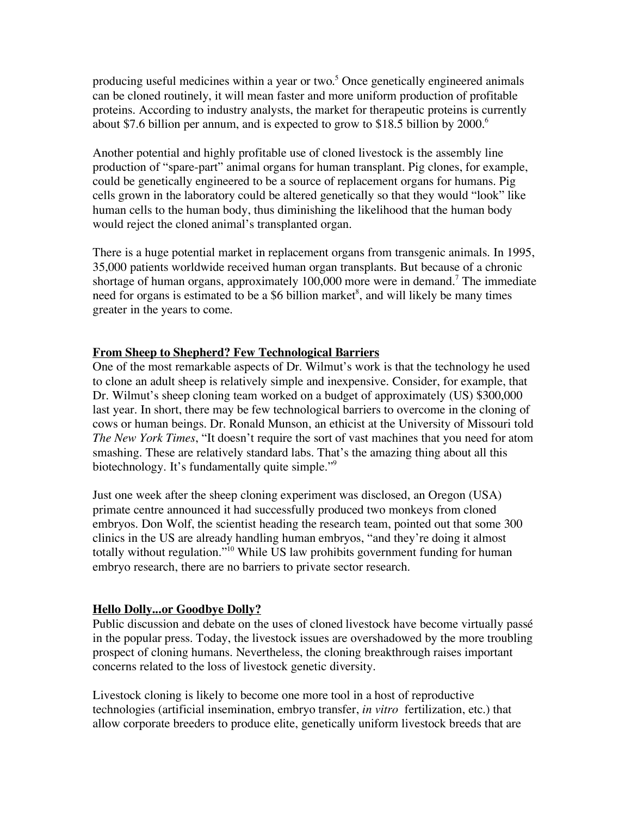producing useful medicines within a year or two. <sup>5</sup> Once genetically engineered animals can be cloned routinely, it will mean faster and more uniform production of profitable proteins. According to industry analysts, the market for therapeutic proteins is currently about \$7.6 billion per annum, and is expected to grow to \$18.5 billion by  $2000$ .<sup>6</sup>

Another potential and highly profitable use of cloned livestock is the assembly line production of "spare-part" animal organs for human transplant. Pig clones, for example, could be genetically engineered to be a source of replacement organs for humans. Pig cells grown in the laboratory could be altered genetically so that they would "look" like human cells to the human body, thus diminishing the likelihood that the human body would reject the cloned animal's transplanted organ.

There is a huge potential market in replacement organs from transgenic animals. In 1995, 35,000 patients worldwide received human organ transplants. But because of a chronic shortage of human organs, approximately 100,000 more were in demand.<sup>7</sup> The immediate need for organs is estimated to be a \$6 billion market 8 , and will likely be many times greater in the years to come.

## **From Sheep to Shepherd? Few Technological Barriers**

One of the most remarkable aspects of Dr. Wilmut's work is that the technology he used to clone an adult sheep is relatively simple and inexpensive. Consider, for example, that Dr. Wilmut's sheep cloning team worked on a budget of approximately (US) \$300,000 last year. In short, there may be few technological barriers to overcome in the cloning of cows or human beings. Dr. Ronald Munson, an ethicist at the University of Missouri told *The New York Times*, "It doesn't require the sort of vast machines that you need for atom smashing. These are relatively standard labs. That's the amazing thing about all this biotechnology. It's fundamentally quite simple."<sup>9</sup>

Just one week after the sheep cloning experiment was disclosed, an Oregon (USA) primate centre announced it had successfully produced two monkeys from cloned embryos. Don Wolf, the scientist heading the research team, pointed out that some 300 clinics in the US are already handling human embryos, "and they're doing it almost totally without regulation."<sup>10</sup> While US law prohibits government funding for human embryo research, there are no barriers to private sector research.

### **Hello Dolly...or Goodbye Dolly?**

Public discussion and debate on the uses of cloned livestock have become virtually passé in the popular press. Today, the livestock issues are overshadowed by the more troubling prospect of cloning humans. Nevertheless, the cloning breakthrough raises important concerns related to the loss of livestock genetic diversity.

Livestock cloning is likely to become one more tool in a host of reproductive technologies (artificial insemination, embryo transfer, *in vitro* fertilization, etc.) that allow corporate breeders to produce elite, genetically uniform livestock breeds that are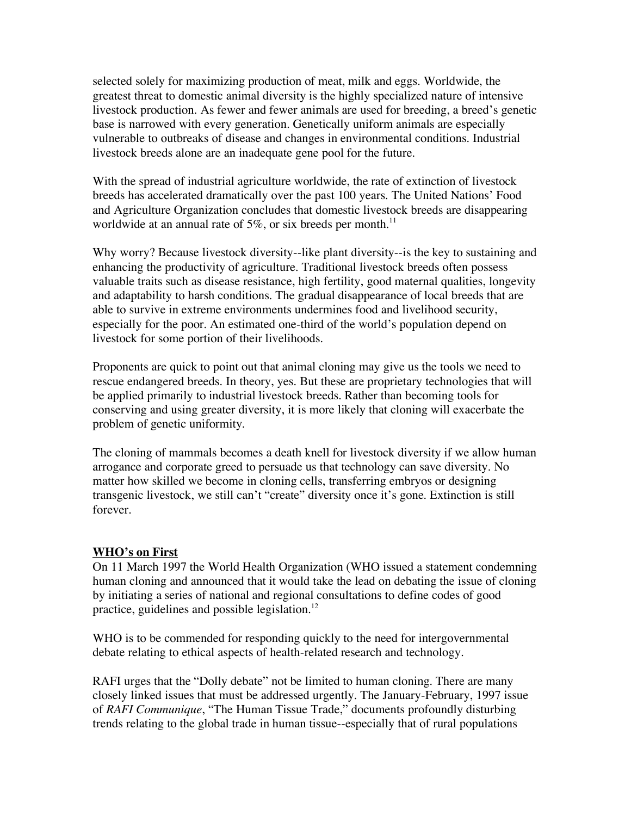selected solely for maximizing production of meat, milk and eggs. Worldwide, the greatest threat to domestic animal diversity is the highly specialized nature of intensive livestock production. As fewer and fewer animals are used for breeding, a breed's genetic base is narrowed with every generation. Genetically uniform animals are especially vulnerable to outbreaks of disease and changes in environmental conditions. Industrial livestock breeds alone are an inadequate gene pool for the future.

With the spread of industrial agriculture worldwide, the rate of extinction of livestock breeds has accelerated dramatically over the past 100 years. The United Nations' Food and Agriculture Organization concludes that domestic livestock breeds are disappearing worldwide at an annual rate of 5%, or six breeds per month.<sup>11</sup>

Why worry? Because livestock diversity--like plant diversity--is the key to sustaining and enhancing the productivity of agriculture. Traditional livestock breeds often possess valuable traits such as disease resistance, high fertility, good maternal qualities, longevity and adaptability to harsh conditions. The gradual disappearance of local breeds that are able to survive in extreme environments undermines food and livelihood security, especially for the poor. An estimated one-third of the world's population depend on livestock for some portion of their livelihoods.

Proponents are quick to point out that animal cloning may give us the tools we need to rescue endangered breeds. In theory, yes. But these are proprietary technologies that will be applied primarily to industrial livestock breeds. Rather than becoming tools for conserving and using greater diversity, it is more likely that cloning will exacerbate the problem of genetic uniformity.

The cloning of mammals becomes a death knell for livestock diversity if we allow human arrogance and corporate greed to persuade us that technology can save diversity. No matter how skilled we become in cloning cells, transferring embryos or designing transgenic livestock, we still can't "create" diversity once it's gone. Extinction is still forever.

### **WHO's on First**

On 11 March 1997 the World Health Organization (WHO issued a statement condemning human cloning and announced that it would take the lead on debating the issue of cloning by initiating a series of national and regional consultations to define codes of good practice, guidelines and possible legislation. $^{12}$ 

WHO is to be commended for responding quickly to the need for intergovernmental debate relating to ethical aspects of health-related research and technology.

RAFI urges that the "Dolly debate" not be limited to human cloning. There are many closely linked issues that must be addressed urgently. The January-February, 1997 issue of *RAFI Communique*, "The Human Tissue Trade," documents profoundly disturbing trends relating to the global trade in human tissue--especially that of rural populations